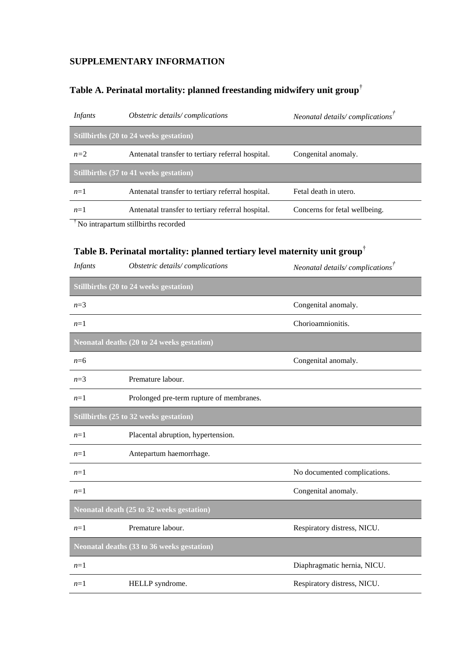## **SUPPLEMENTARY INFORMATION**

## **Table A. Perinatal mortality: planned freestanding midwifery unit group**†

| <i>Infants</i>                                            | <i>Obstetric details/complications</i>            | Neonatal details/ $\mathit{complications}^{\mathit{T}}$ |  |  |
|-----------------------------------------------------------|---------------------------------------------------|---------------------------------------------------------|--|--|
| Stillbirths $(20 \text{ to } 24 \text{ weeks}$ gestation) |                                                   |                                                         |  |  |
| $n=2$                                                     | Antenatal transfer to tertiary referral hospital. | Congenital anomaly.                                     |  |  |
| Stillbirths (37 to 41 weeks gestation)                    |                                                   |                                                         |  |  |
| $n=1$                                                     | Antenatal transfer to tertiary referral hospital. | Fetal death in utero.                                   |  |  |
| $n=1$                                                     | Antenatal transfer to tertiary referral hospital. | Concerns for fetal wellbeing.                           |  |  |
| No intrapartum stillbirths recorded                       |                                                   |                                                         |  |  |

**Table B. Perinatal mortality: planned tertiary level maternity unit group**†

| <b>Infants</b>                                    | Obstetric details/complications          | Neonatal details/ $complicationsT$ |  |  |
|---------------------------------------------------|------------------------------------------|------------------------------------|--|--|
| Stillbirths (20 to 24 weeks gestation)            |                                          |                                    |  |  |
| $n=3$                                             |                                          | Congenital anomaly.                |  |  |
| $n=1$                                             |                                          | Chorioamnionitis.                  |  |  |
| <b>Neonatal deaths (20 to 24 weeks gestation)</b> |                                          |                                    |  |  |
| $n=6$                                             |                                          | Congenital anomaly.                |  |  |
| $n=3$                                             | Premature labour.                        |                                    |  |  |
| $n=1$                                             | Prolonged pre-term rupture of membranes. |                                    |  |  |
|                                                   | Stillbirths (25 to 32 weeks gestation)   |                                    |  |  |
| $n=1$                                             | Placental abruption, hypertension.       |                                    |  |  |
| $n=1$                                             | Antepartum haemorrhage.                  |                                    |  |  |
| $n=1$                                             |                                          | No documented complications.       |  |  |
| $n=1$                                             |                                          | Congenital anomaly.                |  |  |
| Neonatal death (25 to 32 weeks gestation)         |                                          |                                    |  |  |
| $n=1$                                             | Premature labour.                        | Respiratory distress, NICU.        |  |  |
| <b>Neonatal deaths (33 to 36 weeks gestation)</b> |                                          |                                    |  |  |
| $n=1$                                             |                                          | Diaphragmatic hernia, NICU.        |  |  |
| $n=1$                                             | HELLP syndrome.                          | Respiratory distress, NICU.        |  |  |